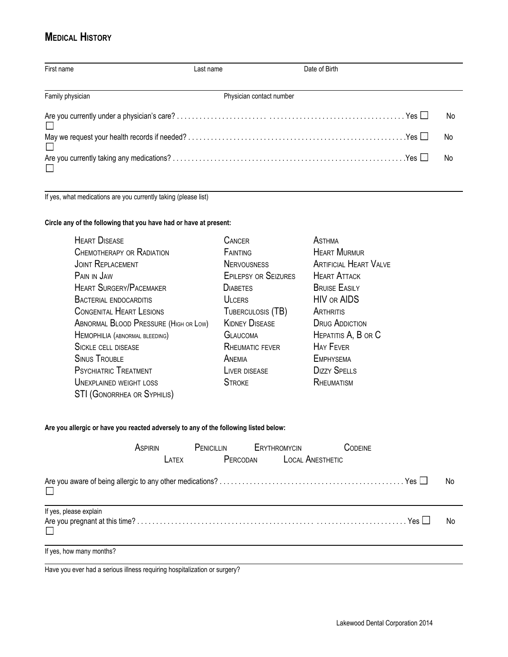## **MEDICAL HISTORY**

| First name       | Last name                | Date of Birth |    |
|------------------|--------------------------|---------------|----|
| Family physician | Physician contact number |               |    |
|                  |                          |               | No |
|                  |                          |               | No |
|                  |                          |               | No |

If yes, what medications are you currently taking (please list)

## **Circle any of the following that you have had or have at present:**

| <b>HEART DISEASE</b>                  | <b>CANCER</b>               | <b>ASTHMA</b>                 |
|---------------------------------------|-----------------------------|-------------------------------|
| <b>CHEMOTHERAPY OR RADIATION</b>      | FAINTING                    | <b>HEART MURMUR</b>           |
| <b>JOINT REPLACEMENT</b>              | <b>NERVOUSNESS</b>          | <b>ARTIFICIAL HEART VALVE</b> |
| PAIN IN JAW                           | <b>EPILEPSY OR SEIZURES</b> | <b>HEART ATTACK</b>           |
| <b>HEART SURGERY/PACEMAKER</b>        | <b>DIABETES</b>             | <b>BRUISE EASILY</b>          |
| <b>BACTERIAL ENDOCARDITIS</b>         | <b>ULCERS</b>               | <b>HIV OR AIDS</b>            |
| <b>CONGENITAL HEART LESIONS</b>       | TUBERCULOSIS (TB)           | ARTHRITIS                     |
| ABNORMAL BLOOD PRESSURE (HIGH OR LOW) | <b>KIDNEY DISEASE</b>       | <b>DRUG ADDICTION</b>         |
| HEMOPHILIA (ABNORMAL BLEEDING)        | <b>GLAUCOMA</b>             | HEPATITIS A, B OR C           |
| <b>SICKLE CELL DISEASE</b>            | <b>RHEUMATIC FEVER</b>      | <b>HAY FEVER</b>              |
| <b>SINUS TROUBLE</b>                  | ANEMIA                      | <b>EMPHYSEMA</b>              |
| <b>PSYCHIATRIC TREATMENT</b>          | LIVER DISEASE               | <b>DIZZY SPELLS</b>           |
| <b>UNEXPLAINED WEIGHT LOSS</b>        | <b>STROKE</b>               | RHEUMATISM                    |
| <b>STI (GONORRHEA OR SYPHILIS)</b>    |                             |                               |

## **Are you allergic or have you reacted adversely to any of the following listed below:**

|                          | ASPIRIN | PENICILLIN ERYTHROMYCIN   | <b>CODEINE</b> |    |
|--------------------------|---------|---------------------------|----------------|----|
|                          | LATEX   | PERCODAN LOCAL ANESTHETIC |                |    |
|                          |         |                           |                | No |
| If yes, please explain   |         |                           |                | No |
| If yes, how many months? |         |                           |                |    |

Have you ever had a serious illness requiring hospitalization or surgery?